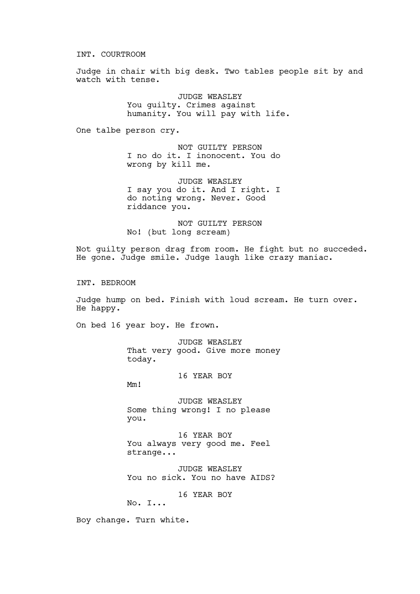INT. COURTROOM

Judge in chair with big desk. Two tables people sit by and watch with tense.

> JUDGE WEASLEY You guilty. Crimes against humanity. You will pay with life.

One talbe person cry.

NOT GUILTY PERSON I no do it. I inonocent. You do wrong by kill me.

JUDGE WEASLEY I say you do it. And I right. I do noting wrong. Never. Good riddance you.

NOT GUILTY PERSON No! (but long scream)

Not guilty person drag from room. He fight but no succeded. He gone. Judge smile. Judge laugh like crazy maniac.

INT. BEDROOM

Judge hump on bed. Finish with loud scream. He turn over. He happy.

On bed 16 year boy. He frown.

JUDGE WEASLEY That very good. Give more money today.

16 YEAR BOY

Mm!

JUDGE WEASLEY Some thing wrong! I no please you.

16 YEAR BOY You always very good me. Feel strange...

JUDGE WEASLEY You no sick. You no have AIDS?

16 YEAR BOY

No. I...

Boy change. Turn white.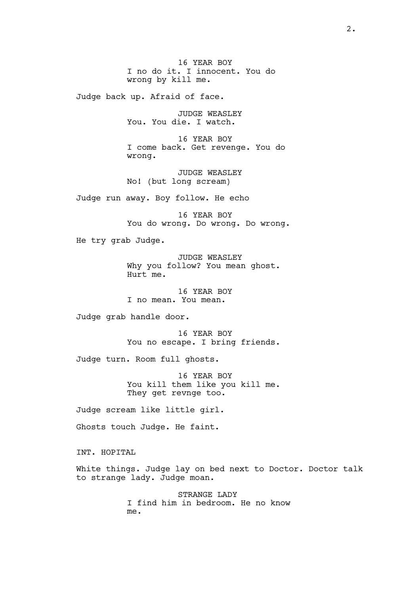16 YEAR BOY I no do it. I innocent. You do wrong by kill me.

Judge back up. Afraid of face.

JUDGE WEASLEY You. You die. I watch.

16 YEAR BOY I come back. Get revenge. You do wrong.

JUDGE WEASLEY No! (but long scream)

Judge run away. Boy follow. He echo

16 YEAR BOY You do wrong. Do wrong. Do wrong.

He try grab Judge.

JUDGE WEASLEY Why you follow? You mean ghost. Hurt me.

16 YEAR BOY I no mean. You mean.

Judge grab handle door.

16 YEAR BOY You no escape. I bring friends.

Judge turn. Room full ghosts.

16 YEAR BOY You kill them like you kill me. They get revnge too.

Judge scream like little girl.

Ghosts touch Judge. He faint.

INT. HOPITAL

White things. Judge lay on bed next to Doctor. Doctor talk to strange lady. Judge moan.

> STRANGE LADY I find him in bedroom. He no know me.